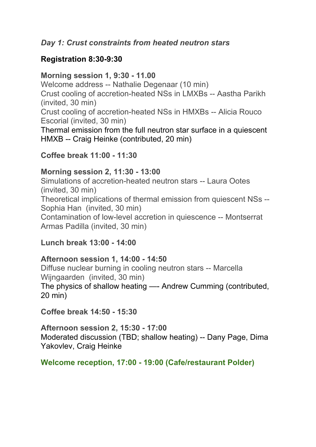# *Day 1: Crust constraints from heated neutron stars*

# **Registration 8:30-9:30**

#### **Morning session 1, 9:30 - 11.00**

Welcome address -- Nathalie Degenaar (10 min) Crust cooling of accretion-heated NSs in LMXBs -- Aastha Parikh (invited, 30 min) Crust cooling of accretion-heated NSs in HMXBs -- Alicia Rouco Escorial (invited, 30 min)

Thermal emission from the full neutron star surface in a quiescent HMXB -- Craig Heinke (contributed, 20 min)

#### **Coffee break 11:00 - 11:30**

#### **Morning session 2, 11:30 - 13:00**

Simulations of accretion-heated neutron stars -- Laura Ootes (invited, 30 min)

Theoretical implications of thermal emission from quiescent NSs -- Sophia Han (invited, 30 min)

Contamination of low-level accretion in quiescence -- Montserrat Armas Padilla (invited, 30 min)

#### **Lunch break 13:00 - 14:00**

#### **Afternoon session 1, 14:00 - 14:50**

Diffuse nuclear burning in cooling neutron stars -- Marcella Wijngaarden (invited, 30 min) The physics of shallow heating —- Andrew Cumming (contributed, 20 min)

**Coffee break 14:50 - 15:30**

**Afternoon session 2, 15:30 - 17:00** Moderated discussion (TBD; shallow heating) -- Dany Page, Dima Yakovlev, Craig Heinke

#### **Welcome reception, 17:00 - 19:00 (Cafe/restaurant Polder)**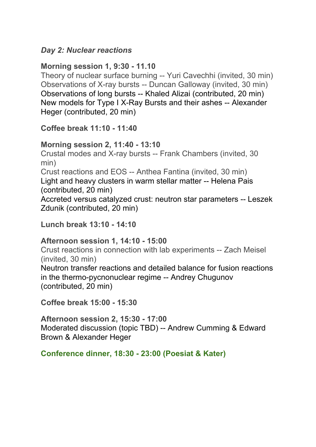### *Day 2: Nuclear reactions*

#### **Morning session 1, 9:30 - 11.10**

Theory of nuclear surface burning -- Yuri Cavechhi (invited, 30 min) Observations of X-ray bursts -- Duncan Galloway (invited, 30 min) Observations of long bursts -- Khaled Alizai (contributed, 20 min) New models for Type I X-Ray Bursts and their ashes -- Alexander Heger (contributed, 20 min)

**Coffee break 11:10 - 11:40**

# **Morning session 2, 11:40 - 13:10**

Crustal modes and X-ray bursts -- Frank Chambers (invited, 30 min) Crust reactions and EOS -- Anthea Fantina (invited, 30 min) Light and heavy clusters in warm stellar matter -- Helena Pais (contributed, 20 min)

Accreted versus catalyzed crust: neutron star parameters -- Leszek Zdunik (contributed, 20 min)

**Lunch break 13:10 - 14:10**

#### **Afternoon session 1, 14:10 - 15:00**

Crust reactions in connection with lab experiments -- Zach Meisel (invited, 30 min)

Neutron transfer reactions and detailed balance for fusion reactions in the thermo-pycnonuclear regime -- Andrey Chugunov (contributed, 20 min)

**Coffee break 15:00 - 15:30**

**Afternoon session 2, 15:30 - 17:00** Moderated discussion (topic TBD) -- Andrew Cumming & Edward Brown & Alexander Heger

**Conference dinner, 18:30 - 23:00 (Poesiat & Kater)**